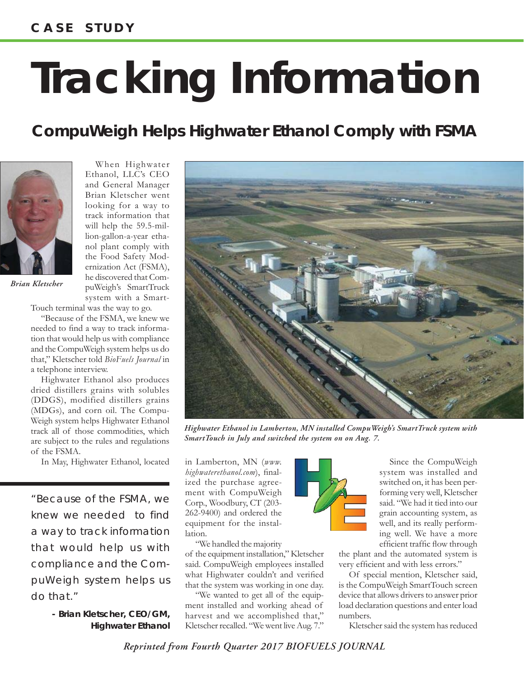## **Tracking Information**

## *CompuWeigh Helps Highwater Ethanol Comply with FSMA*



*Brian Kletscher*

When Highwater Ethanol, LLC's CEO and General Manager Brian Kletscher went looking for a way to track information that will help the 59.5-million-gallon-a-year ethanol plant comply with the Food Safety Modernization Act (FSMA), he discovered that CompuWeigh's SmartTruck system with a Smart-

Touch terminal was the way to go.

"Because of the FSMA, we knew we needed to find a way to track information that would help us with compliance and the CompuWeigh system helps us do that," Kletscher told *BioFuels Journal* in a telephone interview.

Highwater Ethanol also produces dried distillers grains with solubles (DDGS), modified distillers grains (MDGs), and corn oil. The Compu-Weigh system helps Highwater Ethanol track all of those commodities, which are subject to the rules and regulations of the FSMA.

In May, Highwater Ethanol, located in Lamberton, MN (www.

*"Because of the FSMA, we knew we needed to find a way to track information that would help us with compliance and the CompuWeigh system helps us do that."*

> **- Brian Kletscher, CEO/GM, Highwater Ethanol**



*Highwater Ethanol in Lamberton, MN installed CompuWeigh's SmartTruck system with SmartTouch in July and switched the system on on Aug. 7.*

in Lamberton, MN (*www. highwaterethanol.com*), finalized the purchase agreement with CompuWeigh Corp., Woodbury, CT (203- 262-9400) and ordered the equipment for the installation.

"We handled the majority of the equipment installation," Kletscher said. CompuWeigh employees installed what Highwater couldn't and verified that the system was working in one day.

"We wanted to get all of the equipment installed and working ahead of harvest and we accomplished that," Kletscher recalled. "We went live Aug. 7."



system was installed and switched on, it has been performing very well, Kletscher said. "We had it tied into our grain accounting system, as well, and its really performing well. We have a more efficient traffic flow through

the plant and the automated system is very efficient and with less errors."

Of special mention, Kletscher said, is the CompuWeigh SmartTouch screen device that allows drivers to answer prior load declaration questions and enter load numbers.

Kletscher said the system has reduced

*Reprinted from Fourth Quarter 2017 BIOFUELS JOURNAL*